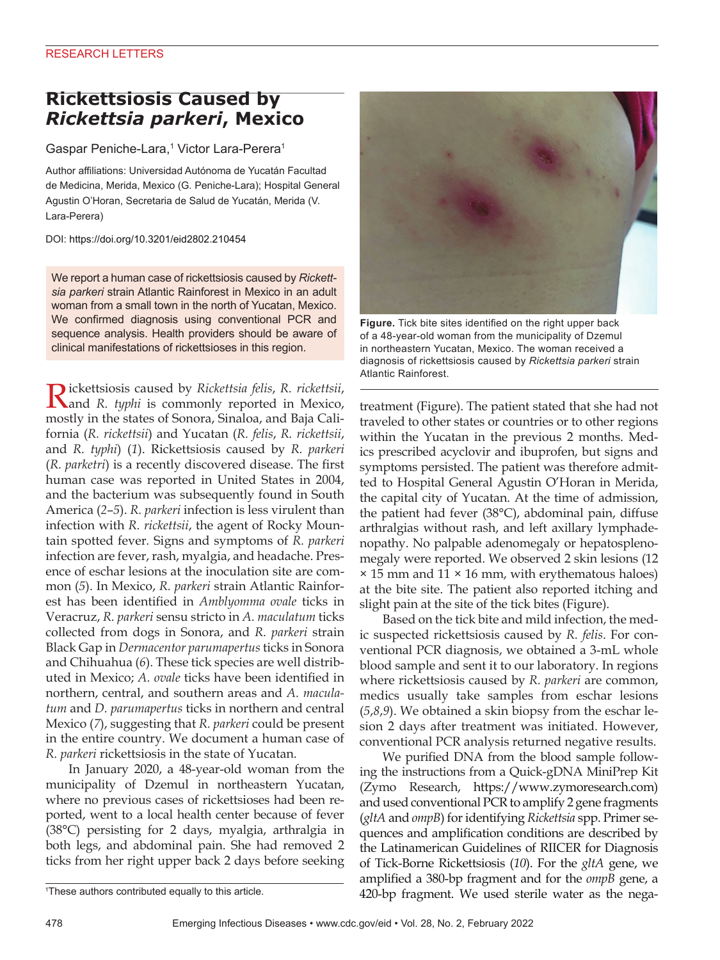## **Rickettsiosis Caused by**  *Rickettsia parkeri***, Mexico**

Gaspar Peniche-Lara,<sup>1</sup> Victor Lara-Perera<sup>1</sup>

Author affiliations: Universidad Autónoma de Yucatán Facultad de Medicina, Merida, Mexico (G. Peniche-Lara); Hospital General Agustin O'Horan, Secretaria de Salud de Yucatán, Merida (V. Lara-Perera)

DOI: https://doi.org/10.3201/eid2802.210454

We report a human case of rickettsiosis caused by *Rickettsia parkeri* strain Atlantic Rainforest in Mexico in an adult woman from a small town in the north of Yucatan, Mexico. We confirmed diagnosis using conventional PCR and sequence analysis. Health providers should be aware of clinical manifestations of rickettsioses in this region.

Rickettsiosis caused by *Rickettsia felis*, *R. rickettsii*, and *R. typhi* is commonly reported in Mexico, mostly in the states of Sonora, Sinaloa, and Baja California (*R. rickettsii*) and Yucatan (*R. felis*, *R. rickettsii*, and *R. typhi*) (*1*). Rickettsiosis caused by *R. parkeri* (*R. parketri*) is a recently discovered disease. The first human case was reported in United States in 2004, and the bacterium was subsequently found in South America (*2*–*5*). *R. parkeri* infection is less virulent than infection with *R. rickettsii*, the agent of Rocky Mountain spotted fever*.* Signs and symptoms of *R. parkeri* infection are fever, rash, myalgia, and headache. Presence of eschar lesions at the inoculation site are common (*5*). In Mexico, *R. parkeri* strain Atlantic Rainforest has been identified in *Amblyomma ovale* ticks in Veracruz, *R. parkeri* sensu stricto in *A. maculatum* ticks collected from dogs in Sonora, and *R. parkeri* strain Black Gap in *Dermacentor parumapertus* ticks in Sonora and Chihuahua (*6*). These tick species are well distributed in Mexico; *A. ovale* ticks have been identified in northern, central, and southern areas and *A. maculatum* and *D. parumapertus* ticks in northern and central Mexico (*7*), suggesting that *R. parkeri* could be present in the entire country. We document a human case of *R. parkeri* rickettsiosis in the state of Yucatan.

In January 2020, a 48-year-old woman from the municipality of Dzemul in northeastern Yucatan, where no previous cases of rickettsioses had been reported, went to a local health center because of fever (38°C) persisting for 2 days, myalgia, arthralgia in both legs, and abdominal pain. She had removed 2 ticks from her right upper back 2 days before seeking





**Figure.** Tick bite sites identified on the right upper back of a 48-year-old woman from the municipality of Dzemul in northeastern Yucatan, Mexico. The woman received a diagnosis of rickettsiosis caused by *Rickettsia parkeri* strain Atlantic Rainforest.

treatment (Figure). The patient stated that she had not traveled to other states or countries or to other regions within the Yucatan in the previous 2 months. Medics prescribed acyclovir and ibuprofen, but signs and symptoms persisted. The patient was therefore admitted to Hospital General Agustin O'Horan in Merida, the capital city of Yucatan. At the time of admission, the patient had fever (38°C), abdominal pain, diffuse arthralgias without rash, and left axillary lymphadenopathy. No palpable adenomegaly or hepatosplenomegaly were reported. We observed 2 skin lesions (12  $\times$  15 mm and 11  $\times$  16 mm, with erythematous haloes) at the bite site. The patient also reported itching and slight pain at the site of the tick bites (Figure).

Based on the tick bite and mild infection, the medic suspected rickettsiosis caused by *R. felis*. For conventional PCR diagnosis, we obtained a 3-mL whole blood sample and sent it to our laboratory. In regions where rickettsiosis caused by *R. parkeri* are common, medics usually take samples from eschar lesions (*5*,*8*,*9*). We obtained a skin biopsy from the eschar lesion 2 days after treatment was initiated. However, conventional PCR analysis returned negative results.

We purified DNA from the blood sample following the instructions from a Quick-gDNA MiniPrep Kit (Zymo Research, https://www.zymoresearch.com) and used conventional PCR to amplify 2 gene fragments (*gltA* and *ompB*) for identifying *Rickettsia* spp. Primer sequences and amplification conditions are described by the Latinamerican Guidelines of RIICER for Diagnosis of Tick-Borne Rickettsiosis (*10*). For the *gltA* gene, we amplified a 380-bp fragment and for the *ompB* gene, a 420-bp fragment. We used sterile water as the nega